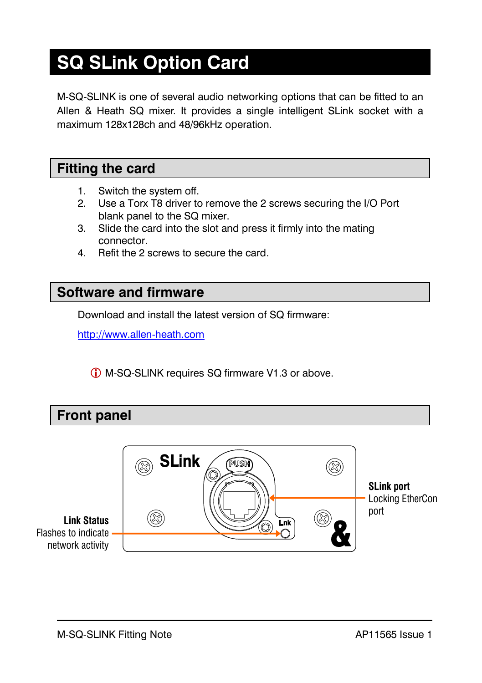# **SQ SLink Option Card**

M-SQ-SLINK is one of several audio networking options that can be fitted to an Allen & Heath SQ mixer. It provides a single intelligent SLink socket with a maximum 128x128ch and 48/96kHz operation.

#### **Fitting the card**

- 1. Switch the system off.
- 2. Use a Torx T8 driver to remove the 2 screws securing the I/O Port blank panel to the SQ mixer.
- 3. Slide the card into the slot and press it firmly into the mating connector.
- 4. Refit the 2 screws to secure the card.

#### **Software and firmware**

Download and install the latest version of SQ firmware:

[http://www.allen-heath.com](http://www.allen-heath.com/) 

M-SQ-SLINK requires SQ firmware V1.3 or above.

#### **Front panel**